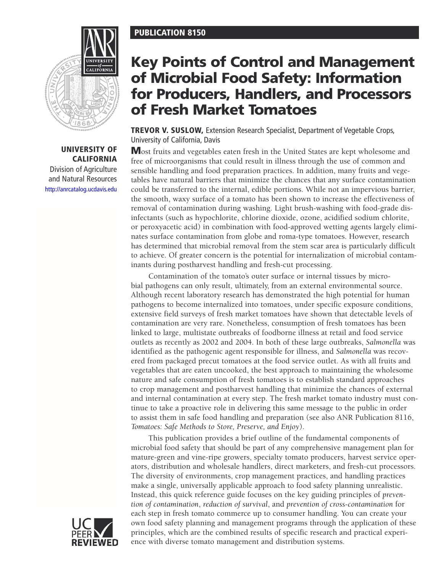## PUBLICATION 8150



### UNIVERSITY OF CALIFORNIA

Division of Agriculture and Natural Resources <http://anrcatalog.ucdavis.edu>

# Key Points of Control and Management of Microbial Food Safety: Information for Producers, Handlers, and Processors of Fresh Market Tomatoes

**TREVOR V. SUSLOW, Extension Research Specialist, Department of Vegetable Crops,** University of California, Davis

Most fruits and vegetables eaten fresh in the United States are kept wholesome and free of microorganisms that could result in illness through the use of common and sensible handling and food preparation practices. In addition, many fruits and vegetables have natural barriers that minimize the chances that any surface contamination could be transferred to the internal, edible portions. While not an impervious barrier, the smooth, waxy surface of a tomato has been shown to increase the effectiveness of removal of contamination during washing. Light brush-washing with food-grade disinfectants (such as hypochlorite, chlorine dioxide, ozone, acidified sodium chlorite, or peroxyacetic acid) in combination with food-approved wetting agents largely eliminates surface contamination from globe and roma-type tomatoes. However, research has determined that microbial removal from the stem scar area is particularly difficult to achieve. Of greater concern is the potential for internalization of microbial contaminants during postharvest handling and fresh-cut processing.

Contamination of the tomato's outer surface or internal tissues by microbial pathogens can only result, ultimately, from an external environmental source. Although recent laboratory research has demonstrated the high potential for human pathogens to become internalized into tomatoes, under specific exposure conditions, extensive field surveys of fresh market tomatoes have shown that detectable levels of contamination are very rare. Nonetheless, consumption of fresh tomatoes has been linked to large, multistate outbreaks of foodborne illness at retail and food service outlets as recently as 2002 and 2004. In both of these large outbreaks, *Salmonella* was identified as the pathogenic agent responsible for illness, and *Salmonella* was recovered from packaged precut tomatoes at the food service outlet. As with all fruits and vegetables that are eaten uncooked, the best approach to maintaining the wholesome nature and safe consumption of fresh tomatoes is to establish standard approaches to crop management and postharvest handling that minimize the chances of external and internal contamination at every step. The fresh market tomato industry must continue to take a proactive role in delivering this same message to the public in order to assist them in safe food handling and preparation (see also ANR Publication 8116, *Tomatoes: Safe Methods to Store, Preserve, and Enjoy*).

This publication provides a brief outline of the fundamental components of microbial food safety that should be part of any comprehensive management plan for mature-green and vine-ripe growers, specialty tomato producers, harvest service operators, distribution and wholesale handlers, direct marketers, and fresh-cut processors. The diversity of environments, crop management practices, and handling practices make a single, universally applicable approach to food safety planning unrealistic. Instead, this quick reference guide focuses on the key guiding principles of *prevention of contamination*, *reduction of survival*, and *prevention of cross-contamination* for each step in fresh tomato commerce up to consumer handling. You can create your own food safety planning and management programs through the application of these principles, which are the combined results of specific research and practical experience with diverse tomato management and distribution systems.

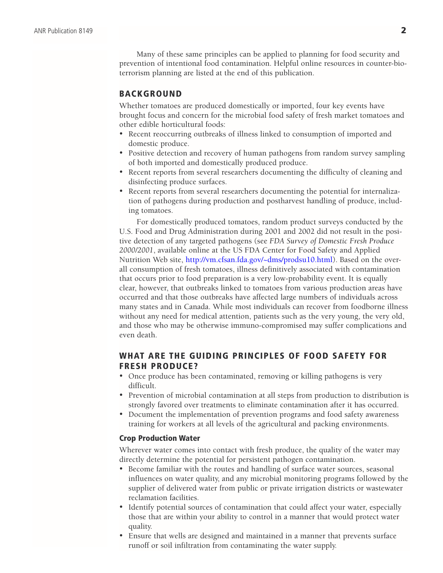Many of these same principles can be applied to planning for food security and prevention of intentional food contamination. Helpful online resources in counter-bioterrorism planning are listed at the end of this publication.

## BACKGROUND

Whether tomatoes are produced domestically or imported, four key events have brought focus and concern for the microbial food safety of fresh market tomatoes and other edible horticultural foods:

- Recent reoccurring outbreaks of illness linked to consumption of imported and domestic produce.
- Positive detection and recovery of human pathogens from random survey sampling of both imported and domestically produced produce.
- Recent reports from several researchers documenting the difficulty of cleaning and disinfecting produce surfaces.
- Recent reports from several researchers documenting the potential for internalization of pathogens during production and postharvest handling of produce, including tomatoes.

For domestically produced tomatoes, random product surveys conducted by the U.S. Food and Drug Administration during 2001 and 2002 did not result in the positive detection of any targeted pathogens (see *FDA Survey of Domestic Fresh Produce 2000/2001*, available online at the US FDA Center for Food Safety and Applied Nutrition Web site, [http://vm.cfsan.fda.gov/~dms/prodsu10.html\)](http://vm.cfsan.fda.gov/~dms/prodsu10.html). Based on the overall consumption of fresh tomatoes, illness definitively associated with contamination that occurs prior to food preparation is a very low-probability event. It is equally clear, however, that outbreaks linked to tomatoes from various production areas have occurred and that those outbreaks have affected large numbers of individuals across many states and in Canada. While most individuals can recover from foodborne illness without any need for medical attention, patients such as the very young, the very old, and those who may be otherwise immuno-compromised may suffer complications and even death.

## WHAT ARE THE GUIDING PRINCIPLES OF FOOD SAFETY FOR FRESH PRODUCE?

- Once produce has been contaminated, removing or killing pathogens is very difficult.
- Prevention of microbial contamination at all steps from production to distribution is strongly favored over treatments to eliminate contamination after it has occurred.
- Document the implementation of prevention programs and food safety awareness training for workers at all levels of the agricultural and packing environments.

#### Crop Production Water

Wherever water comes into contact with fresh produce, the quality of the water may directly determine the potential for persistent pathogen contamination.

- Become familiar with the routes and handling of surface water sources, seasonal influences on water quality, and any microbial monitoring programs followed by the supplier of delivered water from public or private irrigation districts or wastewater reclamation facilities.
- Identify potential sources of contamination that could affect your water, especially those that are within your ability to control in a manner that would protect water quality.
- Ensure that wells are designed and maintained in a manner that prevents surface runoff or soil infiltration from contaminating the water supply.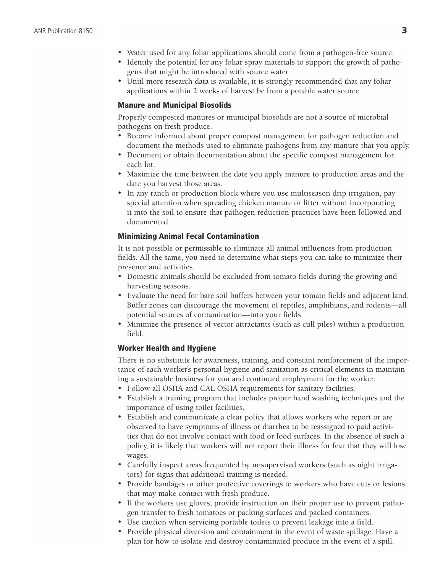- Water used for any foliar applications should come from a pathogen-free source.
- Identify the potential for any foliar spray materials to support the growth of pathogens that might be introduced with source water.
- Until more research data is available, it is strongly recommended that any foliar applications within 2 weeks of harvest be from a potable water source.

## Manure and Municipal Biosolids

Properly composted manures or municipal biosolids are not a source of microbial pathogens on fresh produce.

- Become informed about proper compost management for pathogen reduction and document the methods used to eliminate pathogens from any manure that you apply.
- Document or obtain documentation about the specific compost management for each lot.
- Maximize the time between the date you apply manure to production areas and the date you harvest those areas.
- In any ranch or production block where you use multiseason drip irrigation, pay special attention when spreading chicken manure or litter without incorporating it into the soil to ensure that pathogen reduction practices have been followed and documented.

## Minimizing Animal Fecal Contamination

It is not possible or permissible to eliminate all animal influences from production fields. All the same, you need to determine what steps you can take to minimize their presence and activities.

- Domestic animals should be excluded from tomato fields during the growing and harvesting seasons.
- Evaluate the need for bare soil buffers between your tomato fields and adjacent land. Buffer zones can discourage the movement of reptiles, amphibians, and rodents—all potential sources of contamination—into your fields.
- Minimize the presence of vector attractants (such as cull piles) within a production field.

## Worker Health and Hygiene

There is no substitute for awareness, training, and constant reinforcement of the importance of each worker's personal hygiene and sanitation as critical elements in maintaining a sustainable business for you and continued employment for the worker.

- Follow all OSHA and CAL OSHA requirements for sanitary facilities.
- Establish a training program that includes proper hand washing techniques and the importance of using toilet facilities.
- Establish and communicate a clear policy that allows workers who report or are observed to have symptoms of illness or diarrhea to be reassigned to paid activities that do not involve contact with food or food surfaces. In the absence of such a policy, it is likely that workers will not report their illness for fear that they will lose wages.
- Carefully inspect areas frequented by unsupervised workers (such as night irrigators) for signs that additional training is needed.
- Provide bandages or other protective coverings to workers who have cuts or lesions that may make contact with fresh produce.
- If the workers use gloves, provide instruction on their proper use to prevent pathogen transfer to fresh tomatoes or packing surfaces and packed containers.
- Use caution when servicing portable toilets to prevent leakage into a field.
- Provide physical diversion and containment in the event of waste spillage. Have a plan for how to isolate and destroy contaminated produce in the event of a spill.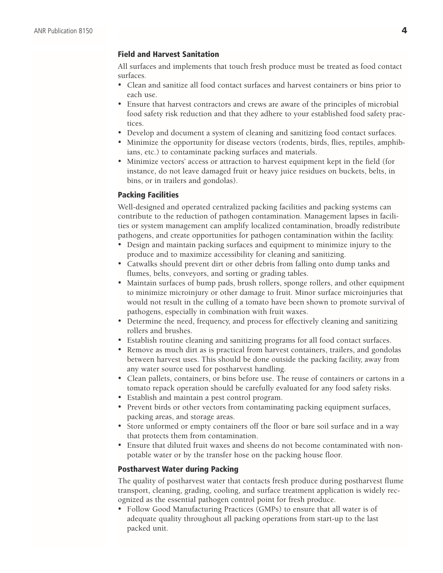## Field and Harvest Sanitation

All surfaces and implements that touch fresh produce must be treated as food contact surfaces.

- Clean and sanitize all food contact surfaces and harvest containers or bins prior to each use.
- Ensure that harvest contractors and crews are aware of the principles of microbial food safety risk reduction and that they adhere to your established food safety practices.
- Develop and document a system of cleaning and sanitizing food contact surfaces.
- Minimize the opportunity for disease vectors (rodents, birds, flies, reptiles, amphibians, etc.) to contaminate packing surfaces and materials.
- Minimize vectors' access or attraction to harvest equipment kept in the field (for instance, do not leave damaged fruit or heavy juice residues on buckets, belts, in bins, or in trailers and gondolas).

## Packing Facilities

Well-designed and operated centralized packing facilities and packing systems can contribute to the reduction of pathogen contamination. Management lapses in facilities or system management can amplify localized contamination, broadly redistribute pathogens, and create opportunities for pathogen contamination within the facility.

- Design and maintain packing surfaces and equipment to minimize injury to the produce and to maximize accessibility for cleaning and sanitizing.
- Catwalks should prevent dirt or other debris from falling onto dump tanks and flumes, belts, conveyors, and sorting or grading tables.
- Maintain surfaces of bump pads, brush rollers, sponge rollers, and other equipment to minimize microinjury or other damage to fruit. Minor surface microinjuries that would not result in the culling of a tomato have been shown to promote survival of pathogens, especially in combination with fruit waxes.
- Determine the need, frequency, and process for effectively cleaning and sanitizing rollers and brushes.
- Establish routine cleaning and sanitizing programs for all food contact surfaces.
- Remove as much dirt as is practical from harvest containers, trailers, and gondolas between harvest uses. This should be done outside the packing facility, away from any water source used for postharvest handling.
- Clean pallets, containers, or bins before use. The reuse of containers or cartons in a tomato repack operation should be carefully evaluated for any food safety risks.
- Establish and maintain a pest control program.
- Prevent birds or other vectors from contaminating packing equipment surfaces, packing areas, and storage areas.
- Store unformed or empty containers off the floor or bare soil surface and in a way that protects them from contamination.
- Ensure that diluted fruit waxes and sheens do not become contaminated with nonpotable water or by the transfer hose on the packing house floor.

## Postharvest Water during Packing

The quality of postharvest water that contacts fresh produce during postharvest flume transport, cleaning, grading, cooling, and surface treatment application is widely recognized as the essential pathogen control point for fresh produce.

• Follow Good Manufacturing Practices (GMPs) to ensure that all water is of adequate quality throughout all packing operations from start-up to the last packed unit.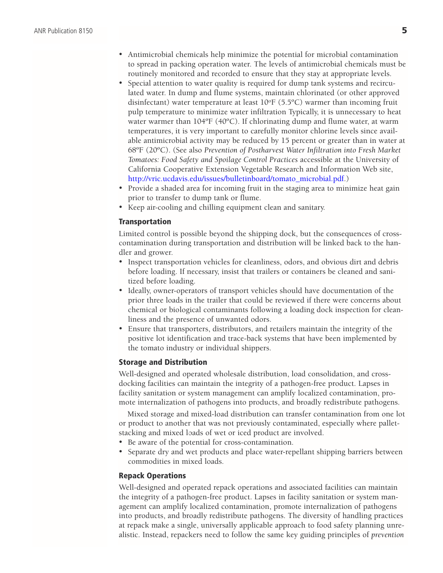- Antimicrobial chemicals help minimize the potential for microbial contamination to spread in packing operation water. The levels of antimicrobial chemicals must be routinely monitored and recorded to ensure that they stay at appropriate levels.
- Special attention to water quality is required for dump tank systems and recirculated water. In dump and flume systems, maintain chlorinated (or other approved disinfectant) water temperature at least  $10^{\circ}F(5.5^{\circ}C)$  warmer than incoming fruit pulp temperature to minimize water infiltration Typically, it is unnecessary to heat water warmer than  $104^{\circ}F (40^{\circ}C)$ . If chlorinating dump and flume water, at warm temperatures, it is very important to carefully monitor chlorine levels since available antimicrobial activity may be reduced by 15 percent or greater than in water at 68ºF (20ºC). (See also *Prevention of Postharvest Water Infiltration into Fresh Market Tomatoes: Food Safety and Spoilage Control Practices* accessible at the University of California Cooperative Extension Vegetable Research and Information Web site, [http://vric.ucdavis.edu/issues/bulletinboard/tomato\\_microbial.pdf.\)](http://vric.ucdavis.edu/issues/bulletinboard/tomato_microbial.pdf)
- Provide a shaded area for incoming fruit in the staging area to minimize heat gain prior to transfer to dump tank or flume.
- Keep air-cooling and chilling equipment clean and sanitary.

#### Transportation

Limited control is possible beyond the shipping dock, but the consequences of crosscontamination during transportation and distribution will be linked back to the handler and grower.

- Inspect transportation vehicles for cleanliness, odors, and obvious dirt and debris before loading. If necessary, insist that trailers or containers be cleaned and sanitized before loading.
- Ideally, owner-operators of transport vehicles should have documentation of the prior three loads in the trailer that could be reviewed if there were concerns about chemical or biological contaminants following a loading dock inspection for cleanliness and the presence of unwanted odors.
- Ensure that transporters, distributors, and retailers maintain the integrity of the positive lot identification and trace-back systems that have been implemented by the tomato industry or individual shippers.

#### Storage and Distribution

Well-designed and operated wholesale distribution, load consolidation, and crossdocking facilities can maintain the integrity of a pathogen-free product. Lapses in facility sanitation or system management can amplify localized contamination, promote internalization of pathogens into products, and broadly redistribute pathogens.

Mixed storage and mixed-load distribution can transfer contamination from one lot or product to another that was not previously contaminated, especially where palletstacking and mixed loads of wet or iced product are involved.

- Be aware of the potential for cross-contamination.
- Separate dry and wet products and place water-repellant shipping barriers between commodities in mixed loads.

#### Repack Operations

Well-designed and operated repack operations and associated facilities can maintain the integrity of a pathogen-free product. Lapses in facility sanitation or system management can amplify localized contamination, promote internalization of pathogens into products, and broadly redistribute pathogens. The diversity of handling practices at repack make a single, universally applicable approach to food safety planning unrealistic. Instead, repackers need to follow the same key guiding principles of *prevention*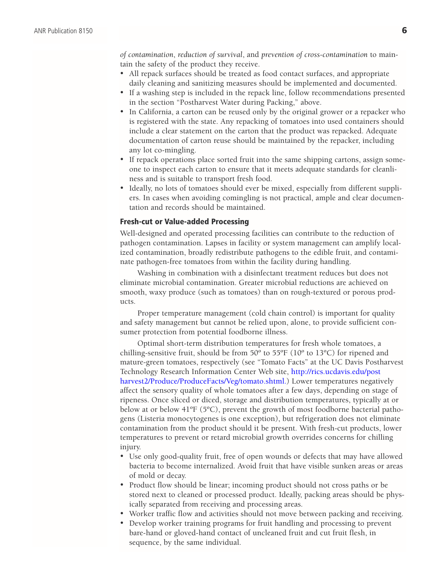*of contamination*, *reduction of survival*, and *prevention of cross-contamination* to maintain the safety of the product they receive.

- All repack surfaces should be treated as food contact surfaces, and appropriate daily cleaning and sanitizing measures should be implemented and documented.
- If a washing step is included in the repack line, follow recommendations presented in the section "Postharvest Water during Packing," above.
- In California, a carton can be reused only by the original grower or a repacker who is registered with the state. Any repacking of tomatoes into used containers should include a clear statement on the carton that the product was repacked. Adequate documentation of carton reuse should be maintained by the repacker, including any lot co-mingling.
- If repack operations place sorted fruit into the same shipping cartons, assign someone to inspect each carton to ensure that it meets adequate standards for cleanliness and is suitable to transport fresh food.
- Ideally, no lots of tomatoes should ever be mixed, especially from different suppliers. In cases when avoiding comingling is not practical, ample and clear documentation and records should be maintained.

#### Fresh-cut or Value-added Processing

Well-designed and operated processing facilities can contribute to the reduction of pathogen contamination. Lapses in facility or system management can amplify localized contamination, broadly redistribute pathogens to the edible fruit, and contaminate pathogen-free tomatoes from within the facility during handling.

Washing in combination with a disinfectant treatment reduces but does not eliminate microbial contamination. Greater microbial reductions are achieved on smooth, waxy produce (such as tomatoes) than on rough-textured or porous products.

Proper temperature management (cold chain control) is important for quality and safety management but cannot be relied upon, alone, to provide sufficient consumer protection from potential foodborne illness.

Optimal short-term distribution temperatures for fresh whole tomatoes, a chilling-sensitive fruit, should be from  $50^{\circ}$  to  $55^{\circ}$  F (10<sup>°</sup> to 13<sup>°</sup>C) for ripened and mature-green tomatoes, respectively (see "Tomato Facts" at the UC Davis Postharvest Technology Research Information Center Web site[, http://rics.ucdavis.edu/post](http://rics.ucdavis.edu/postharvest2/Produce/ProduceFacts/Veg/tomato.shtml) [harvest2/Produce/ProduceFacts/Veg/tomato.shtml.\)](http://rics.ucdavis.edu/postharvest2/Produce/ProduceFacts/Veg/tomato.shtml) Lower temperatures negatively affect the sensory quality of whole tomatoes after a few days, depending on stage of ripeness. Once sliced or diced, storage and distribution temperatures, typically at or below at or below 41ºF (5ºC), prevent the growth of most foodborne bacterial pathogens (Listeria monocytogenes is one exception), but refrigeration does not eliminate contamination from the product should it be present. With fresh-cut products, lower temperatures to prevent or retard microbial growth overrides concerns for chilling injury.

- Use only good-quality fruit, free of open wounds or defects that may have allowed bacteria to become internalized. Avoid fruit that have visible sunken areas or areas of mold or decay.
- Product flow should be linear; incoming product should not cross paths or be stored next to cleaned or processed product. Ideally, packing areas should be physically separated from receiving and processing areas.
- Worker traffic flow and activities should not move between packing and receiving.
- Develop worker training programs for fruit handling and processing to prevent bare-hand or gloved-hand contact of uncleaned fruit and cut fruit flesh, in sequence, by the same individual.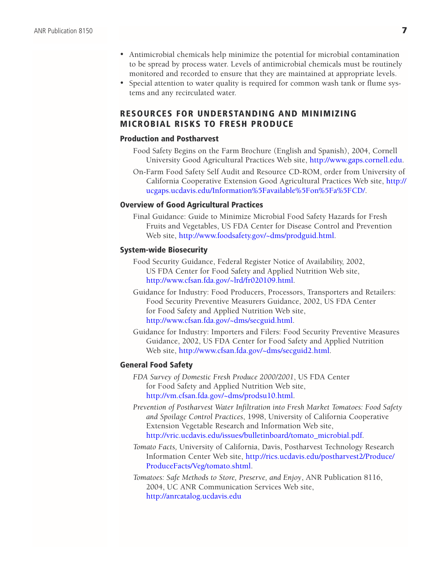- Antimicrobial chemicals help minimize the potential for microbial contamination to be spread by process water. Levels of antimicrobial chemicals must be routinely monitored and recorded to ensure that they are maintained at appropriate levels.
- Special attention to water quality is required for common wash tank or flume systems and any recirculated water.

## RESOURCES FOR UNDERSTANDING AND MINIMIZING MICROBIAL RISKS TO FRESH PRODUCE

#### Production and Postharvest

- Food Safety Begins on the Farm Brochure (English and Spanish), 2004, Cornell University Good Agricultural Practices Web site, [http://www.gaps.cornell.edu.](http://www.gaps.cornell.edu)
- On-Farm Food Safety Self Audit and Resource CD-ROM, order from University of California Cooperative Extension Good Agricultural Practices Web site, [http://](http://ucgaps.ucdavis.edu/Information%5Favailable%5Fon%5Fa%5FCD/) [ucgaps.ucdavis.edu/Information%5Favailable%5Fon%5Fa%5FCD/.](http://ucgaps.ucdavis.edu/Information%5Favailable%5Fon%5Fa%5FCD/)

#### Overview of Good Agricultural Practices

Final Guidance: Guide to Minimize Microbial Food Safety Hazards for Fresh Fruits and Vegetables, US FDA Center for Disease Control and Prevention Web site, [http://www.foodsafety.gov/~dms/prodguid.html.](http://www.foodsafety.gov/~dms/prodguid.html)

## System-wide Biosecurity

- Food Security Guidance, Federal Register Notice of Availability, 2002, US FDA Center for Food Safety and Applied Nutrition Web site, <http://www.cfsan.fda.gov/~lrd/fr020109.html>.
- Guidance for Industry: Food Producers, Processors, Transporters and Retailers: Food Security Preventive Measurers Guidance, 2002, US FDA Center for Food Safety and Applied Nutrition Web site, [http://www.cfsan.fda.gov/~dms/secguid.html.](http://www.cfsan.fda.gov/~dms/secguid.html)
- Guidance for Industry: Importers and Filers: Food Security Preventive Measures Guidance, 2002, US FDA Center for Food Safety and Applied Nutrition Web site, <http://www.cfsan.fda.gov/~dms/secguid2.html>.

#### General Food Safety

- *FDA Survey of Domestic Fresh Produce 2000/2001*, US FDA Center for Food Safety and Applied Nutrition Web site, <http://vm.cfsan.fda.gov/~dms/prodsu10.html>.
- *Prevention of Postharvest Water Infiltration into Fresh Market Tomatoes: Food Safety and Spoilage Control Practices*, 1998, University of California Cooperative Extension Vegetable Research and Information Web site, [http://vric.ucdavis.edu/issues/bulletinboard/tomato\\_microbial.pdf.](http://vric.ucdavis.edu/issues/bulletinboard/tomato_microbial.pdf)
- *Tomato Facts,* University of California, Davis, Postharvest Technology Research [Information Center Web site, http://rics.ucdavis.edu/postharvest2/Produce/](http://rics.ucdavis.edu/postharvest2/Produce/ProduceFacts/Veg/tomato.shtml) ProduceFacts/Veg/tomato.shtml.
- *Tomatoes: Safe Methods to Store, Preserve, and Enjoy*, ANR Publication 8116, 2004, UC ANR Communication Services Web site, <http://anrcatalog.ucdavis.edu>